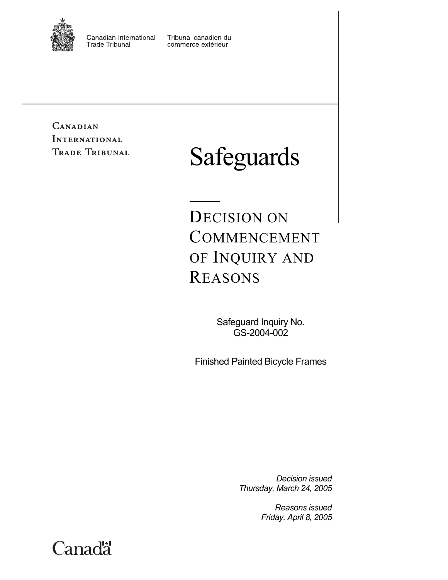

Canadian International **Trade Tribunal** 

Tribunal canadien du commerce extérieur

**CANADIAN INTERNATIONAL TRADE TRIBUNAL** 

# Safeguards

DECISION ON COMMENCEMENT OF INQUIRY AND REASONS

> Safeguard Inquiry No. GS-2004-002

Finished Painted Bicycle Frames

*Decision issued Thursday, March 24, 2005* 

> *Reasons issued Friday, April 8, 2005*

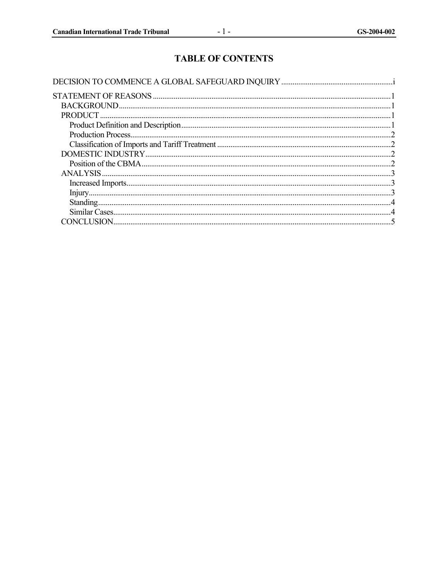# **TABLE OF CONTENTS**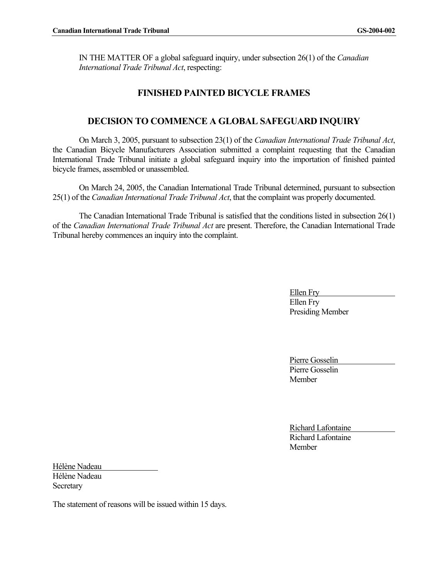IN THE MATTER OF a global safeguard inquiry, under subsection 26(1) of the *Canadian International Trade Tribunal Act*, respecting:

# **FINISHED PAINTED BICYCLE FRAMES**

# **DECISION TO COMMENCE A GLOBAL SAFEGUARD INQUIRY**

On March 3, 2005, pursuant to subsection 23(1) of the *Canadian International Trade Tribunal Act*, the Canadian Bicycle Manufacturers Association submitted a complaint requesting that the Canadian International Trade Tribunal initiate a global safeguard inquiry into the importation of finished painted bicycle frames, assembled or unassembled.

On March 24, 2005, the Canadian International Trade Tribunal determined, pursuant to subsection 25(1) of the *Canadian International Trade Tribunal Act*, that the complaint was properly documented.

The Canadian International Trade Tribunal is satisfied that the conditions listed in subsection 26(1) of the *Canadian International Trade Tribunal Act* are present. Therefore, the Canadian International Trade Tribunal hereby commences an inquiry into the complaint.

> Ellen Fry Ellen Fry Presiding Member

Pierre Gosselin Pierre Gosselin **Member** 

Richard Lafontaine Richard Lafontaine **Member** 

Hélène Nadeau Hélène Nadeau **Secretary** 

The statement of reasons will be issued within 15 days.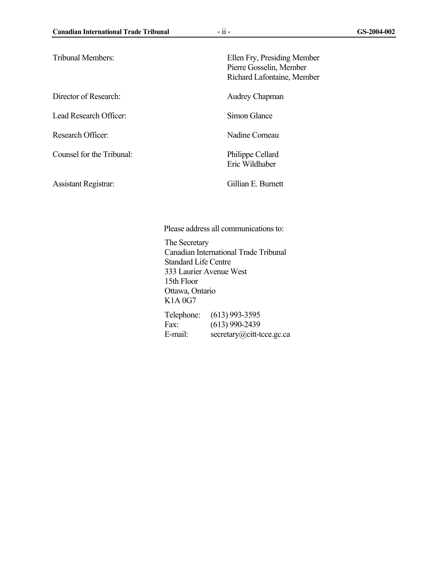| <b>Tribunal Members:</b>    | Ellen Fry, Presiding Member<br>Pierre Gosselin, Member<br>Richard Lafontaine, Member |
|-----------------------------|--------------------------------------------------------------------------------------|
| Director of Research:       | Audrey Chapman                                                                       |
| Lead Research Officer:      | Simon Glance                                                                         |
| Research Officer:           | Nadine Comeau                                                                        |
| Counsel for the Tribunal:   | Philippe Cellard<br>Eric Wildhaber                                                   |
| <b>Assistant Registrar:</b> | Gillian E. Burnett                                                                   |

Please address all communications to:

The Secretary Canadian International Trade Tribunal Standard Life Centre 333 Laurier Avenue West 15th Floor Ottawa, Ontario K1A 0G7 Telephone: (613) 993-3595

Fax: (613) 990-2439 E-mail: secretary@citt-tcce.gc.ca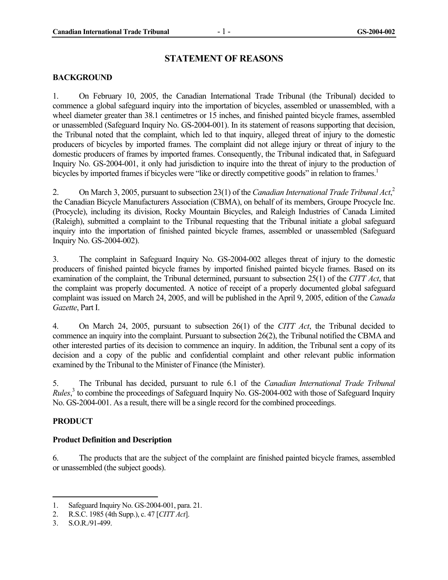#### **STATEMENT OF REASONS**

#### **BACKGROUND**

1. On February 10, 2005, the Canadian International Trade Tribunal (the Tribunal) decided to commence a global safeguard inquiry into the importation of bicycles, assembled or unassembled, with a wheel diameter greater than 38.1 centimetres or 15 inches, and finished painted bicycle frames, assembled or unassembled (Safeguard Inquiry No. GS-2004-001). In its statement of reasons supporting that decision, the Tribunal noted that the complaint, which led to that inquiry, alleged threat of injury to the domestic producers of bicycles by imported frames. The complaint did not allege injury or threat of injury to the domestic producers of frames by imported frames. Consequently, the Tribunal indicated that, in Safeguard Inquiry No. GS-2004-001, it only had jurisdiction to inquire into the threat of injury to the production of bicycles by imported frames if bicycles were "like or directly competitive goods" in relation to frames.<sup>1</sup>

2. On March 3, 2005, pursuant to subsection 23(1) of the *Canadian International Trade Tribunal Act*, 2 the Canadian Bicycle Manufacturers Association (CBMA), on behalf of its members, Groupe Procycle Inc. (Procycle), including its division, Rocky Mountain Bicycles, and Raleigh Industries of Canada Limited (Raleigh), submitted a complaint to the Tribunal requesting that the Tribunal initiate a global safeguard inquiry into the importation of finished painted bicycle frames, assembled or unassembled (Safeguard Inquiry No. GS-2004-002).

3. The complaint in Safeguard Inquiry No. GS-2004-002 alleges threat of injury to the domestic producers of finished painted bicycle frames by imported finished painted bicycle frames. Based on its examination of the complaint, the Tribunal determined, pursuant to subsection 25(1) of the *CITT Act*, that the complaint was properly documented. A notice of receipt of a properly documented global safeguard complaint was issued on March 24, 2005, and will be published in the April 9, 2005, edition of the *Canada Gazette*, Part I.

4. On March 24, 2005, pursuant to subsection 26(1) of the *CITT Act*, the Tribunal decided to commence an inquiry into the complaint. Pursuant to subsection 26(2), the Tribunal notified the CBMA and other interested parties of its decision to commence an inquiry. In addition, the Tribunal sent a copy of its decision and a copy of the public and confidential complaint and other relevant public information examined by the Tribunal to the Minister of Finance (the Minister).

5. The Tribunal has decided, pursuant to rule 6.1 of the *Canadian International Trade Tribunal Rules*, 3 to combine the proceedings of Safeguard Inquiry No. GS-2004-002 with those of Safeguard Inquiry No. GS-2004-001. As a result, there will be a single record for the combined proceedings.

#### **PRODUCT**

#### **Product Definition and Description**

6. The products that are the subject of the complaint are finished painted bicycle frames, assembled or unassembled (the subject goods).

<sup>1.</sup> Safeguard Inquiry No. GS-2004-001, para. 21.

<sup>2.</sup> R.S.C. 1985 (4th Supp.), c. 47 [*CITT Act*].

<sup>3.</sup> S.O.R./91-499.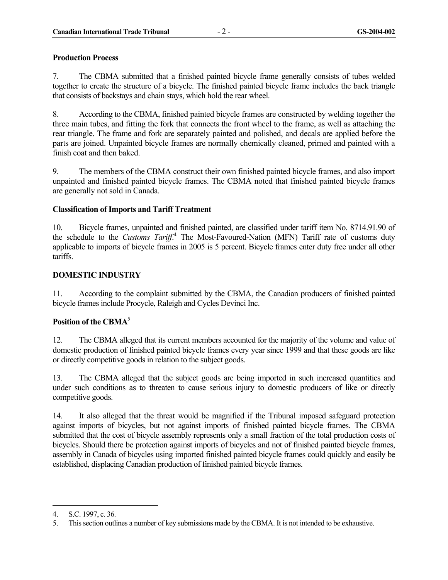#### **Production Process**

7. The CBMA submitted that a finished painted bicycle frame generally consists of tubes welded together to create the structure of a bicycle. The finished painted bicycle frame includes the back triangle that consists of backstays and chain stays, which hold the rear wheel.

8. According to the CBMA, finished painted bicycle frames are constructed by welding together the three main tubes, and fitting the fork that connects the front wheel to the frame, as well as attaching the rear triangle. The frame and fork are separately painted and polished, and decals are applied before the parts are joined. Unpainted bicycle frames are normally chemically cleaned, primed and painted with a finish coat and then baked.

9. The members of the CBMA construct their own finished painted bicycle frames, and also import unpainted and finished painted bicycle frames. The CBMA noted that finished painted bicycle frames are generally not sold in Canada.

#### **Classification of Imports and Tariff Treatment**

10. Bicycle frames, unpainted and finished painted, are classified under tariff item No. 8714.91.90 of the schedule to the *Customs Tariff*.<sup>4</sup> The Most-Favoured-Nation (MFN) Tariff rate of customs duty applicable to imports of bicycle frames in 2005 is 5 percent. Bicycle frames enter duty free under all other tariffs.

#### **DOMESTIC INDUSTRY**

11. According to the complaint submitted by the CBMA, the Canadian producers of finished painted bicycle frames include Procycle, Raleigh and Cycles Devinci Inc.

# Position of the CBMA<sup>5</sup>

12. The CBMA alleged that its current members accounted for the majority of the volume and value of domestic production of finished painted bicycle frames every year since 1999 and that these goods are like or directly competitive goods in relation to the subject goods.

13. The CBMA alleged that the subject goods are being imported in such increased quantities and under such conditions as to threaten to cause serious injury to domestic producers of like or directly competitive goods.

14. It also alleged that the threat would be magnified if the Tribunal imposed safeguard protection against imports of bicycles, but not against imports of finished painted bicycle frames. The CBMA submitted that the cost of bicycle assembly represents only a small fraction of the total production costs of bicycles. Should there be protection against imports of bicycles and not of finished painted bicycle frames, assembly in Canada of bicycles using imported finished painted bicycle frames could quickly and easily be established, displacing Canadian production of finished painted bicycle frames.

<sup>4.</sup> S.C. 1997, c. 36.

<sup>5.</sup> This section outlines a number of key submissions made by the CBMA. It is not intended to be exhaustive.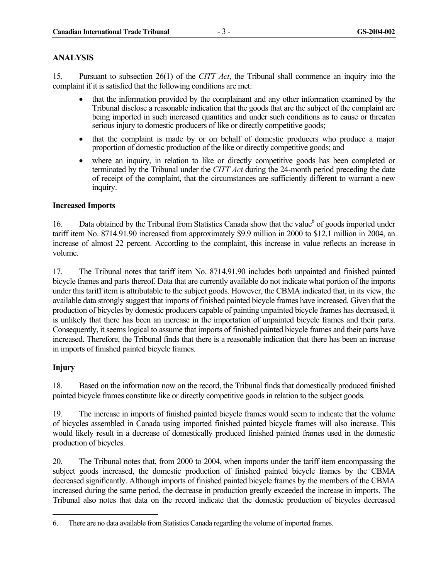#### **ANALYSIS**

15. Pursuant to subsection 26(1) of the *CITT Act*, the Tribunal shall commence an inquiry into the complaint if it is satisfied that the following conditions are met:

- that the information provided by the complainant and any other information examined by the Tribunal disclose a reasonable indication that the goods that are the subject of the complaint are being imported in such increased quantities and under such conditions as to cause or threaten serious injury to domestic producers of like or directly competitive goods;
- that the complaint is made by or on behalf of domestic producers who produce a major proportion of domestic production of the like or directly competitive goods; and
- where an inquiry, in relation to like or directly competitive goods has been completed or terminated by the Tribunal under the *CITT Act* during the 24-month period preceding the date of receipt of the complaint, that the circumstances are sufficiently different to warrant a new inquiry.

#### **Increased Imports**

16. Data obtained by the Tribunal from Statistics Canada show that the value<sup>6</sup> of goods imported under tariff item No. 8714.91.90 increased from approximately \$9.9 million in 2000 to \$12.1 million in 2004, an increase of almost 22 percent. According to the complaint, this increase in value reflects an increase in volume.

17. The Tribunal notes that tariff item No. 8714.91.90 includes both unpainted and finished painted bicycle frames and parts thereof. Data that are currently available do not indicate what portion of the imports under this tariff item is attributable to the subject goods. However, the CBMA indicated that, in its view, the available data strongly suggest that imports of finished painted bicycle frames have increased. Given that the production of bicycles by domestic producers capable of painting unpainted bicycle frames has decreased, it is unlikely that there has been an increase in the importation of unpainted bicycle frames and their parts. Consequently, it seems logical to assume that imports of finished painted bicycle frames and their parts have increased. Therefore, the Tribunal finds that there is a reasonable indication that there has been an increase in imports of finished painted bicycle frames.

# **Injury**

l

18. Based on the information now on the record, the Tribunal finds that domestically produced finished painted bicycle frames constitute like or directly competitive goods in relation to the subject goods.

19. The increase in imports of finished painted bicycle frames would seem to indicate that the volume of bicycles assembled in Canada using imported finished painted bicycle frames will also increase. This would likely result in a decrease of domestically produced finished painted frames used in the domestic production of bicycles.

20. The Tribunal notes that, from 2000 to 2004, when imports under the tariff item encompassing the subject goods increased, the domestic production of finished painted bicycle frames by the CBMA decreased significantly. Although imports of finished painted bicycle frames by the members of the CBMA increased during the same period, the decrease in production greatly exceeded the increase in imports. The Tribunal also notes that data on the record indicate that the domestic production of bicycles decreased

<sup>6.</sup> There are no data available from Statistics Canada regarding the volume of imported frames.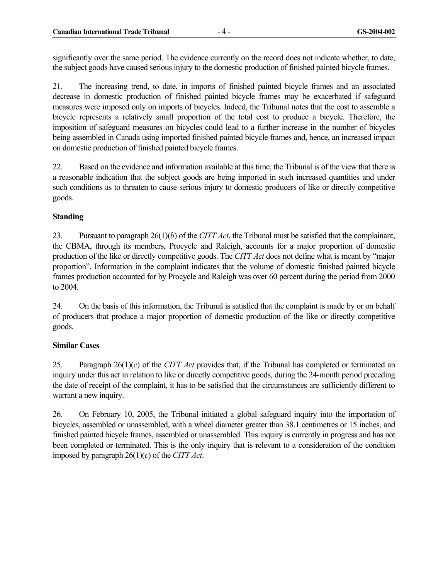significantly over the same period. The evidence currently on the record does not indicate whether, to date, the subject goods have caused serious injury to the domestic production of finished painted bicycle frames.

21. The increasing trend, to date, in imports of finished painted bicycle frames and an associated decrease in domestic production of finished painted bicycle frames may be exacerbated if safeguard measures were imposed only on imports of bicycles. Indeed, the Tribunal notes that the cost to assemble a bicycle represents a relatively small proportion of the total cost to produce a bicycle. Therefore, the imposition of safeguard measures on bicycles could lead to a further increase in the number of bicycles being assembled in Canada using imported finished painted bicycle frames and, hence, an increased impact on domestic production of finished painted bicycle frames.

22. Based on the evidence and information available at this time, the Tribunal is of the view that there is a reasonable indication that the subject goods are being imported in such increased quantities and under such conditions as to threaten to cause serious injury to domestic producers of like or directly competitive goods.

#### **Standing**

23. Pursuant to paragraph 26(1)(*b*) of the *CITT Act*, the Tribunal must be satisfied that the complainant, the CBMA, through its members, Procycle and Raleigh, accounts for a major proportion of domestic production of the like or directly competitive goods. The *CITT Act* does not define what is meant by "major proportion". Information in the complaint indicates that the volume of domestic finished painted bicycle frames production accounted for by Procycle and Raleigh was over 60 percent during the period from 2000 to 2004.

24. On the basis of this information, the Tribunal is satisfied that the complaint is made by or on behalf of producers that produce a major proportion of domestic production of the like or directly competitive goods.

# **Similar Cases**

25. Paragraph 26(1)(*c*) of the *CITT Act* provides that, if the Tribunal has completed or terminated an inquiry under this act in relation to like or directly competitive goods, during the 24-month period preceding the date of receipt of the complaint, it has to be satisfied that the circumstances are sufficiently different to warrant a new inquiry.

26. On February 10, 2005, the Tribunal initiated a global safeguard inquiry into the importation of bicycles, assembled or unassembled, with a wheel diameter greater than 38.1 centimetres or 15 inches, and finished painted bicycle frames, assembled or unassembled. This inquiry is currently in progress and has not been completed or terminated. This is the only inquiry that is relevant to a consideration of the condition imposed by paragraph 26(1)(*c*) of the *CITT Act*.